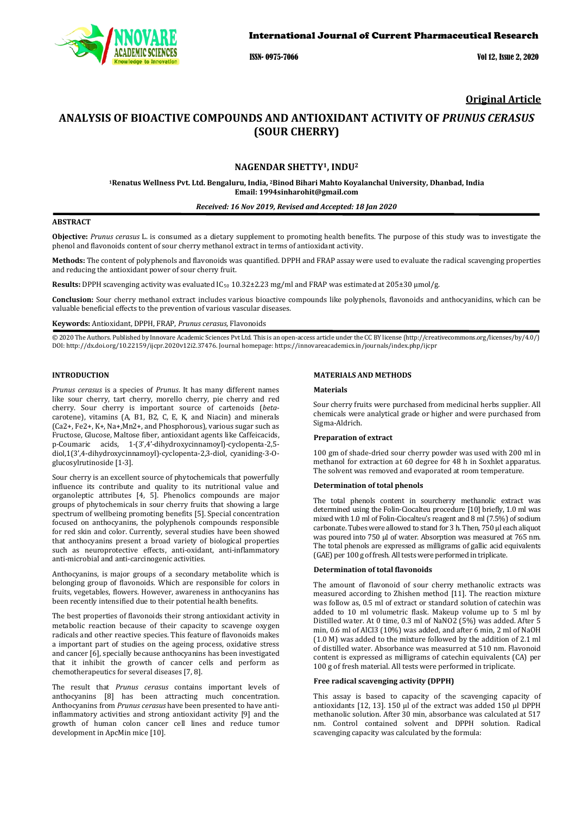

ISSN- 0975-7066 Vol 12, Issue 2, 2020

## **Original Article**

# **ANALYSIS OF BIOACTIVE COMPOUNDS AND ANTIOXIDANT ACTIVITY OF** *PRUNUS CERASUS* **(SOUR CHERRY)**

## **NAGENDAR SHETTY1, INDU2**

**1Renatus Wellness Pvt. Ltd. Bengaluru, India, 2 Binod Bihari Mahto Koyalanchal University, Dhanbad, India Email: 1994sinharohit@gmail.com**

## *Received: 16 Nov 2019, Revised and Accepted: 18 Jan 2020*

#### **ABSTRACT**

**Objective:** *Prunus cerasus* L. is consumed as a dietary supplement to promoting health benefits. The purpose of this study was to investigate the phenol and flavonoids content of sour cherry methanol extract in terms of antioxidant activity.

**Methods:** The content of polyphenols and flavonoids was quantified. DPPH and FRAP assay were used to evaluate the radical scavenging properties and reducing the antioxidant power of sour cherry fruit.

Results: DPPH scavenging activity was evaluated IC<sub>50</sub> 10.32±2.23 mg/ml and FRAP was estimated at 205±30 µmol/g.

**Conclusion:** Sour cherry methanol extract includes various bioactive compounds like polyphenols, flavonoids and anthocyanidins, which can be valuable beneficial effects to the prevention of various vascular diseases.

**Keywords:** Antioxidant, DPPH, FRAP, *Prunus cerasus,* Flavonoids

© 2020 The Authors. Published by Innovare Academic Sciences Pvt Ltd. This is an open-access article under the CC BY license [\(http://creativecommons.org/licenses/by/4.0/\)](http://creativecommons.org/licenses/by/4.0/) DOI: http://dx.doi.org/10.22159/ijcpr.2020v12i2.37476. Journal homepage[: https://innovareacademics.in/journals/index.php/ijcpr](https://innovareacademics.in/journals/index.php/ijcpr)

## **INTRODUCTION**

*Prunus cerasus* is a species of *Prunus*. It has many different names like sour cherry, tart cherry, morello cherry, pie cherry and red cherry. Sour cherry is important source of cartenoids (*beta*carotene), vitamins (A, B1, B2, C, E, K, and Niacin) and minerals (Ca2+, Fe2+, K+, Na+,Mn2+, and Phosphorous), various sugar such as Fructose, Glucose, Maltose fiber, antioxidant agents like Caffeicacids, p-Coumaric acids, 1-(3',4'-dihydroxycinnamoyl)-cyclopenta-2,5 diol,1(3',4-dihydroxycinnamoyl)-cyclopenta-2,3-diol, cyaniding-3-Oglucosylrutinoside [1-3].

Sour cherry is an excellent source of phytochemicals that powerfully influence its contribute and quality to its nutritional value and organoleptic attributes [4, 5]. Phenolics compounds are major groups of phytochemicals in sour cherry fruits that showing a large spectrum of wellbeing promoting benefits [5]. Special concentration focused on anthocyanins, the polyphenols compounds responsible for red skin and color. Currently, several studies have been showed that anthocyanins present a broad variety of biological properties such as neuroprotective effects, anti-oxidant, anti-inflammatory anti-microbial and anti-carcinogenic activities.

Anthocyanins, is major groups of a secondary metabolite which is belonging group of flavonoids. Which are responsible for colors in fruits, vegetables, flowers. However, awareness in anthocyanins has been recently intensified due to their potential health benefits.

The best properties of flavonoids their strong antioxidant activity in metabolic reaction because of their capacity to scavenge oxygen radicals and other reactive species. This feature of flavonoids makes a important part of studies on the ageing process, oxidative stress and cancer [6], specially because anthocyanins has been investigated that it inhibit the growth of cancer cells and perform as chemotherapeutics for several diseases [7, 8].

The result that *Prunus cerasus* contains important levels of anthocyanins [8] has been attracting much concentration. Anthocyanins from *Prunus cerasus* have been presented to have antiinflammatory activities and strong antioxidant activity [9] and the growth of human colon cancer cell lines and reduce tumor development in ApcMin mice [10].

## **MATERIALS AND METHODS**

### **Materials**

Sour cherry fruits were purchased from medicinal herbs supplier. All chemicals were analytical grade or higher and were purchased from Sigma-Aldrich.

## **Preparation of extract**

100 gm of shade-dried sour cherry powder was used with 200 ml in methanol for extraction at 60 degree for 48 h in Soxhlet apparatus. The solvent was removed and evaporated at room temperature.

#### **Determination of total phenols**

The total phenols content in sourcherry methanolic extract was determined using the Folin-Ciocalteu procedure [10] briefly, 1.0 ml was mixed with 1.0 ml of Folin-Ciocalteu's reagent and 8 ml(7.5%) of sodium carbonate. Tubes were allowed to stand for 3 h. Then, 750 μl each aliquot was poured into 750 μl of water. Absorption was measured at 765 nm. The total phenols are expressed as milligrams of gallic acid equivalents (GAE) per 100 g of fresh. All tests were performed in triplicate.

#### **Determination of total flavonoids**

The amount of flavonoid of sour cherry methanolic extracts was measured according to Zhishen method [11]. The reaction mixture was follow as, 0.5 ml of extract or standard solution of catechin was added to 10 ml volumetric flask. Makeup volume up to 5 ml by Distilled water. At 0 time, 0.3 ml of NaNO2 (5%) was added. After 5 min, 0.6 ml of AlCl3 (10%) was added, and after 6 min, 2 ml of NaOH (1.0 M) was added to the mixture followed by the addition of 2.1 ml of distilled water. Absorbance was measurred at 510 nm. Flavonoid content is expressed as milligrams of catechin equivalents (CA) per 100 g of fresh material. All tests were performed in triplicate.

#### **Free radical scavenging activity (DPPH)**

This assay is based to capacity of the scavenging capacity of antioxidants [12, 13]. 150 μl of the extract was added 150 μl DPPH methanolic solution. After 30 min, absorbance was calculated at 517 nm. Control contained solvent and DPPH solution. Radical scavenging capacity was calculated by the formula: